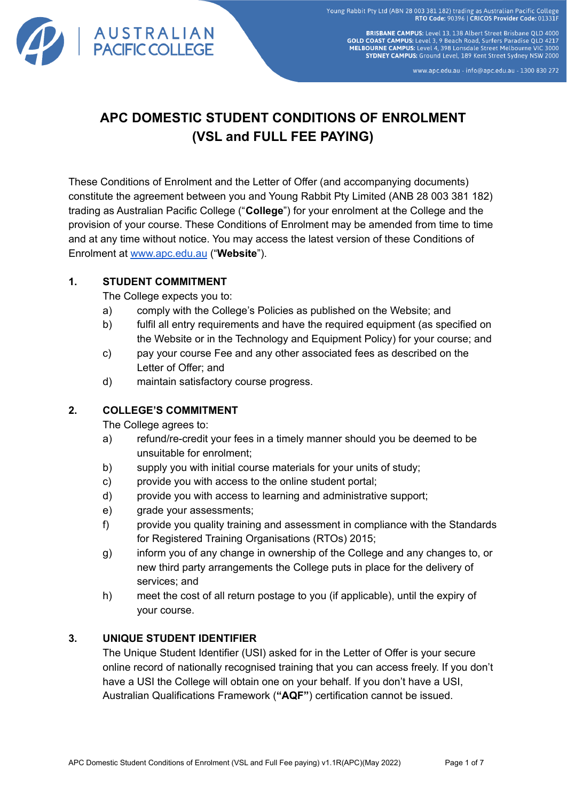

**BRISBANE CAMPUS: Level 13, 138 Albert Street Brisbane QLD 4000 GOLD COAST CAMPUS:** Level 3, 9 Beach Road, Surfers Paradise QLD 4000<br>**GOLD COAST CAMPUS:** Level 3, 9 Beach Road, Surfers Paradise QLD 4217<br>**MELBOURNE CAMPUS:** Level 4, 398 Lonsdale Street Melbourne VIC 3000 SYDNEY CAMPUS: Ground Level, 189 Kent Street Sydney NSW 2000

www.apc.edu.au - info@apc.edu.au - 1300 830 272

# **APC DOMESTIC STUDENT CONDITIONS OF ENROLMENT (VSL and FULL FEE PAYING)**

These Conditions of Enrolment and the Letter of Offer (and accompanying documents) constitute the agreement between you and Young Rabbit Pty Limited (ANB 28 003 381 182) trading as Australian Pacific College ("**College**") for your enrolment at the College and the provision of your course. These Conditions of Enrolment may be amended from time to time and at any time without notice. You may access the latest version of these Conditions of Enrolment at [www.apc.edu.au](http://www.apc.edu.au) ("**Website**").

# **1. STUDENT COMMITMENT**

The College expects you to:

- a) comply with the College's Policies as published on the Website; and
- b) fulfil all entry requirements and have the required equipment (as specified on the Website or in the Technology and Equipment Policy) for your course; and
- c) pay your course Fee and any other associated fees as described on the Letter of Offer; and
- d) maintain satisfactory course progress.

# **2. COLLEGE'S COMMITMENT**

The College agrees to:

- a) refund/re-credit your fees in a timely manner should you be deemed to be unsuitable for enrolment;
- b) supply you with initial course materials for your units of study;
- c) provide you with access to the online student portal;
- d) provide you with access to learning and administrative support;
- e) grade your assessments;
- f) provide you quality training and assessment in compliance with the Standards for Registered Training Organisations (RTOs) 2015;
- g) inform you of any change in ownership of the College and any changes to, or new third party arrangements the College puts in place for the delivery of services; and
- h) meet the cost of all return postage to you (if applicable), until the expiry of your course.

# **3. UNIQUE STUDENT IDENTIFIER**

The Unique Student Identifier (USI) asked for in the Letter of Offer is your secure online record of nationally recognised training that you can access freely. If you don't have a USI the College will obtain one on your behalf. If you don't have a USI, Australian Qualifications Framework (**"AQF"**) certification cannot be issued.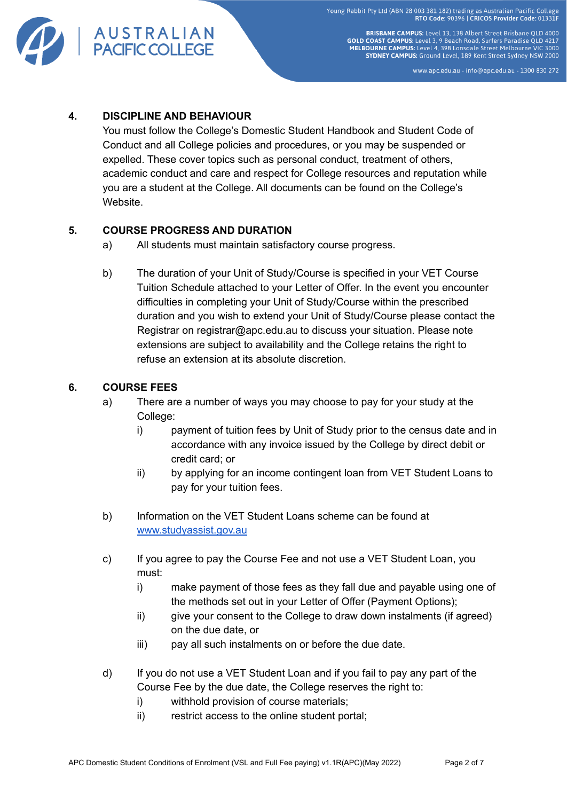

**BRISBANE CAMPUS:** Level 13, 138 Albert Street Brisbane OLD 4000 **GOLD COAST CAMPUS:** Level 3, 9 Beach Road, Surfers Paradise QLD 4217<br>MELBOURNE CAMPUS: Level 3, 9 Beach Road, Surfers Paradise QLD 4217 SYDNEY CAMPUS: Ground Level, 189 Kent Street Sydney NSW 2000

www.apc.edu.au - info@apc.edu.au - 1300 830 272

### **4. DISCIPLINE AND BEHAVIOUR**

You must follow the College's Domestic Student Handbook and Student Code of Conduct and all College policies and procedures, or you may be suspended or expelled. These cover topics such as personal conduct, treatment of others, academic conduct and care and respect for College resources and reputation while you are a student at the College. All documents can be found on the College's Website.

#### **5. COURSE PROGRESS AND DURATION**

- a) All students must maintain satisfactory course progress.
- b) The duration of your Unit of Study/Course is specified in your VET Course Tuition Schedule attached to your Letter of Offer. In the event you encounter difficulties in completing your Unit of Study/Course within the prescribed duration and you wish to extend your Unit of Study/Course please contact the Registrar on registrar@apc.edu.au to discuss your situation. Please note extensions are subject to availability and the College retains the right to refuse an extension at its absolute discretion.

#### **6. COURSE FEES**

- a) There are a number of ways you may choose to pay for your study at the College:
	- i) payment of tuition fees by Unit of Study prior to the census date and in accordance with any invoice issued by the College by direct debit or credit card; or
	- ii) by applying for an income contingent loan from VET Student Loans to pay for your tuition fees.
- b) Information on the VET Student Loans scheme can be found at [www.studyassist.gov.au](http://www.studyassist.gov.au)
- c) If you agree to pay the Course Fee and not use a VET Student Loan, you must:
	- i) make payment of those fees as they fall due and payable using one of the methods set out in your Letter of Offer (Payment Options);
	- ii) give your consent to the College to draw down instalments (if agreed) on the due date, or
	- iii) pay all such instalments on or before the due date.
- d) If you do not use a VET Student Loan and if you fail to pay any part of the Course Fee by the due date, the College reserves the right to:
	- i) withhold provision of course materials;
	- ii) restrict access to the online student portal;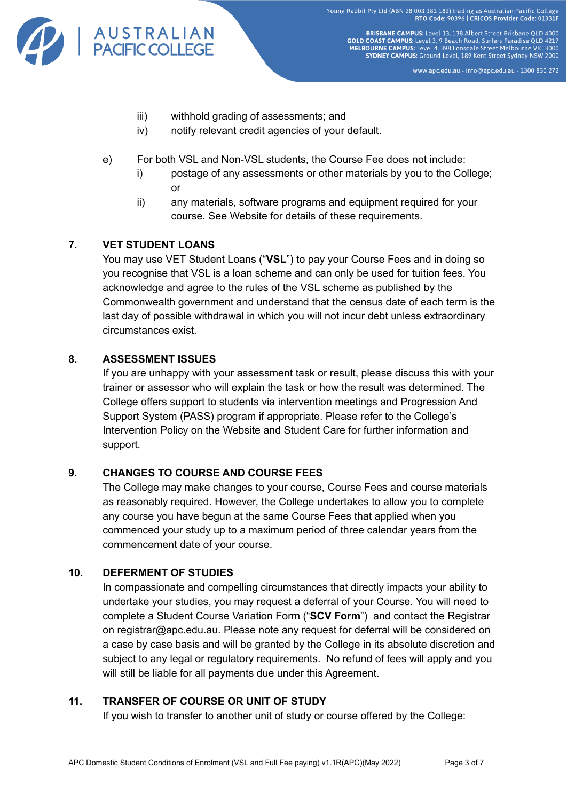

**BRISBANE CAMPUS:** Level 13, 138 Albert Street Brisbane QLD 4000 **GOLD COAST CAMPUS:** Level 3, 9 Beach Road, Surfers Paradise QLD 4000<br>**GOLD COAST CAMPUS:** Level 3, 9 Beach Road, Surfers Paradise QLD 4217<br>**MELBOURNE CAMPUS:** Level 4, 398 Lonsdale Street Melbourne VIC 3000 SYDNEY CAMPUS: Ground Level, 189 Kent Street Sydney NSW 2000

www.apc.edu.au - info@apc.edu.au - 1300 830 272

- iii) withhold grading of assessments; and
- iv) notify relevant credit agencies of your default.
- e) For both VSL and Non-VSL students, the Course Fee does not include:
	- i) postage of any assessments or other materials by you to the College; or
	- ii) any materials, software programs and equipment required for your course. See Website for details of these requirements.

# **7. VET STUDENT LOANS**

You may use VET Student Loans ("**VSL**") to pay your Course Fees and in doing so you recognise that VSL is a loan scheme and can only be used for tuition fees. You acknowledge and agree to the rules of the VSL scheme as published by the Commonwealth government and understand that the census date of each term is the last day of possible withdrawal in which you will not incur debt unless extraordinary circumstances exist.

#### **8. ASSESSMENT ISSUES**

If you are unhappy with your assessment task or result, please discuss this with your trainer or assessor who will explain the task or how the result was determined. The College offers support to students via intervention meetings and Progression And Support System (PASS) program if appropriate. Please refer to the College's Intervention Policy on the Website and Student Care for further information and support.

# **9. CHANGES TO COURSE AND COURSE FEES**

The College may make changes to your course, Course Fees and course materials as reasonably required. However, the College undertakes to allow you to complete any course you have begun at the same Course Fees that applied when you commenced your study up to a maximum period of three calendar years from the commencement date of your course.

# **10. DEFERMENT OF STUDIES**

In compassionate and compelling circumstances that directly impacts your ability to undertake your studies, you may request a deferral of your Course. You will need to complete a Student Course Variation Form ("**SCV Form**") and contact the Registrar on registrar@apc.edu.au. Please note any request for deferral will be considered on a case by case basis and will be granted by the College in its absolute discretion and subject to any legal or regulatory requirements. No refund of fees will apply and you will still be liable for all payments due under this Agreement.

# **11. TRANSFER OF COURSE OR UNIT OF STUDY**

If you wish to transfer to another unit of study or course offered by the College: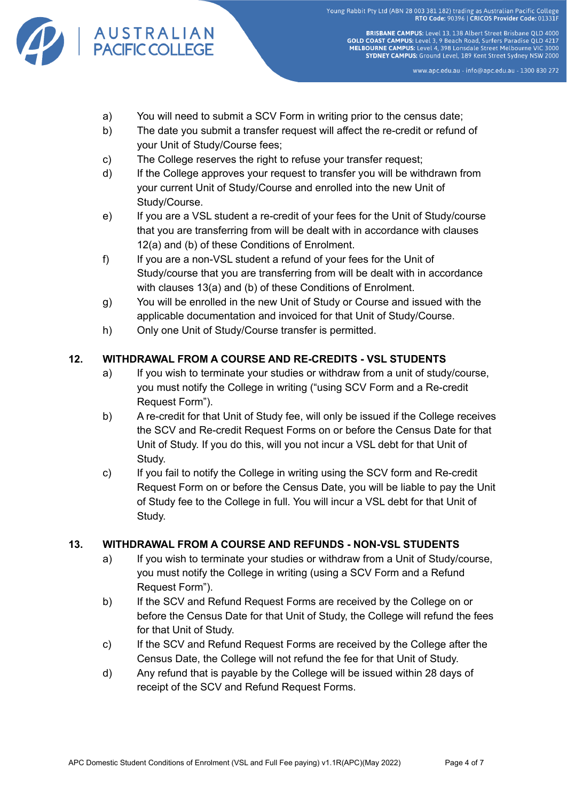

**BRISBANE CAMPUS:** Level 13, 138 Albert Street Brisbane OLD 4000 **GOLD COAST CAMPUS:** Level 3, 9 Beach Road, Surfers Paradise QLD 4000<br>**GOLD COAST CAMPUS:** Level 3, 9 Beach Road, Surfers Paradise QLD 4217<br>**MELBOURNE CAMPUS:** Level 4, 398 Lonsdale Street Melbourne VIC 3000 SYDNEY CAMPUS: Ground Level, 189 Kent Street Sydney NSW 2000

www.apc.edu.au - info@apc.edu.au - 1300 830 272

- a) You will need to submit a SCV Form in writing prior to the census date;
- b) The date you submit a transfer request will affect the re-credit or refund of your Unit of Study/Course fees;
- c) The College reserves the right to refuse your transfer request;
- d) If the College approves your request to transfer you will be withdrawn from your current Unit of Study/Course and enrolled into the new Unit of Study/Course.
- e) If you are a VSL student a re-credit of your fees for the Unit of Study/course that you are transferring from will be dealt with in accordance with clauses 12(a) and (b) of these Conditions of Enrolment.
- f) If you are a non-VSL student a refund of your fees for the Unit of Study/course that you are transferring from will be dealt with in accordance with clauses 13(a) and (b) of these Conditions of Enrolment.
- g) You will be enrolled in the new Unit of Study or Course and issued with the applicable documentation and invoiced for that Unit of Study/Course.
- h) Only one Unit of Study/Course transfer is permitted.

#### **12. WITHDRAWAL FROM A COURSE AND RE-CREDITS - VSL STUDENTS**

- a) If you wish to terminate your studies or withdraw from a unit of study/course, you must notify the College in writing ("using SCV Form and a Re-credit Request Form").
- b) A re-credit for that Unit of Study fee, will only be issued if the College receives the SCV and Re-credit Request Forms on or before the Census Date for that Unit of Study. If you do this, will you not incur a VSL debt for that Unit of Study.
- c) If you fail to notify the College in writing using the SCV form and Re-credit Request Form on or before the Census Date, you will be liable to pay the Unit of Study fee to the College in full. You will incur a VSL debt for that Unit of Study.

#### **13. WITHDRAWAL FROM A COURSE AND REFUNDS - NON-VSL STUDENTS**

- a) If you wish to terminate your studies or withdraw from a Unit of Study/course, you must notify the College in writing (using a SCV Form and a Refund Request Form").
- b) If the SCV and Refund Request Forms are received by the College on or before the Census Date for that Unit of Study, the College will refund the fees for that Unit of Study.
- c) If the SCV and Refund Request Forms are received by the College after the Census Date, the College will not refund the fee for that Unit of Study.
- d) Any refund that is payable by the College will be issued within 28 days of receipt of the SCV and Refund Request Forms.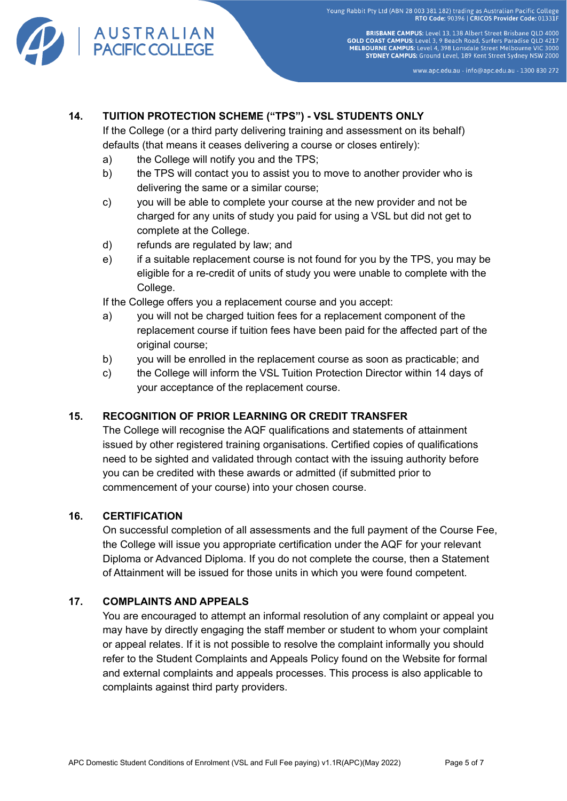

**BRISBANE CAMPUS:** Level 13, 138 Albert Street Brisbane QLD 4000 **GOLD COAST CAMPUS:** Level 3, 9 Beach Road, Surfers Paradise QLD 4000<br>**GOLD COAST CAMPUS:** Level 3, 9 Beach Road, Surfers Paradise QLD 4217<br>**MELBOURNE CAMPUS:** Level 4, 398 Lonsdale Street Melbourne VIC 3000 SYDNEY CAMPUS: Ground Level, 189 Kent Street Sydney NSW 2000

www.apc.edu.au - info@apc.edu.au - 1300 830 272

# **14. TUITION PROTECTION SCHEME ("TPS") - VSL STUDENTS ONLY**

If the College (or a third party delivering training and assessment on its behalf) defaults (that means it ceases delivering a course or closes entirely):

- a) the College will notify you and the TPS;
- b) the TPS will contact you to assist you to move to another provider who is delivering the same or a similar course;
- c) you will be able to complete your course at the new provider and not be charged for any units of study you paid for using a VSL but did not get to complete at the College.
- d) refunds are regulated by law; and
- e) if a suitable replacement course is not found for you by the TPS, you may be eligible for a re-credit of units of study you were unable to complete with the College.

If the College offers you a replacement course and you accept:

- a) you will not be charged tuition fees for a replacement component of the replacement course if tuition fees have been paid for the affected part of the original course:
- b) you will be enrolled in the replacement course as soon as practicable; and
- c) the College will inform the VSL Tuition Protection Director within 14 days of your acceptance of the replacement course.

# **15. RECOGNITION OF PRIOR LEARNING OR CREDIT TRANSFER**

The College will recognise the AQF qualifications and statements of attainment issued by other registered training organisations. Certified copies of qualifications need to be sighted and validated through contact with the issuing authority before you can be credited with these awards or admitted (if submitted prior to commencement of your course) into your chosen course.

#### **16. CERTIFICATION**

On successful completion of all assessments and the full payment of the Course Fee, the College will issue you appropriate certification under the AQF for your relevant Diploma or Advanced Diploma. If you do not complete the course, then a Statement of Attainment will be issued for those units in which you were found competent.

# **17. COMPLAINTS AND APPEALS**

You are encouraged to attempt an informal resolution of any complaint or appeal you may have by directly engaging the staff member or student to whom your complaint or appeal relates. If it is not possible to resolve the complaint informally you should refer to the Student Complaints and Appeals Policy found on the Website for formal and external complaints and appeals processes. This process is also applicable to complaints against third party providers.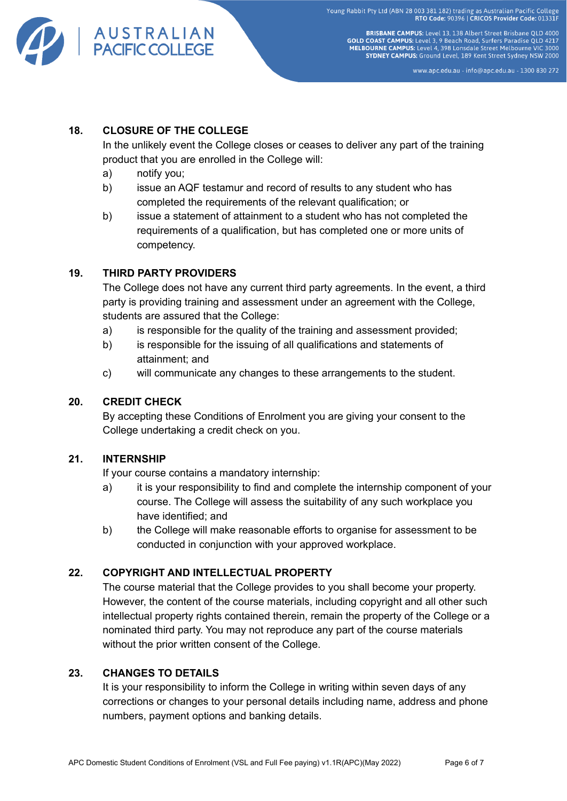

**BRISBANE CAMPUS:** Level 13, 138 Albert Street Brisbane OLD 4000 **GOLD COAST CAMPUS:** Level 3, 9 Beach Road, Surfers Paradise QLD 4217<br>MELBOURNE CAMPUS: Level 3, 9 Beach Road, Surfers Paradise QLD 4217 SYDNEY CAMPUS: Ground Level, 189 Kent Street Sydney NSW 2000

www.apc.edu.au - info@apc.edu.au - 1300 830 272

# **18. CLOSURE OF THE COLLEGE**

In the unlikely event the College closes or ceases to deliver any part of the training product that you are enrolled in the College will:

- a) notify you;
- b) issue an AQF testamur and record of results to any student who has completed the requirements of the relevant qualification; or
- b) issue a statement of attainment to a student who has not completed the requirements of a qualification, but has completed one or more units of competency.

#### **19. THIRD PARTY PROVIDERS**

The College does not have any current third party agreements. In the event, a third party is providing training and assessment under an agreement with the College, students are assured that the College:

- a) is responsible for the quality of the training and assessment provided;
- b) is responsible for the issuing of all qualifications and statements of attainment; and
- c) will communicate any changes to these arrangements to the student.

#### **20. CREDIT CHECK**

By accepting these Conditions of Enrolment you are giving your consent to the College undertaking a credit check on you.

#### **21. INTERNSHIP**

If your course contains a mandatory internship:

- a) it is your responsibility to find and complete the internship component of your course. The College will assess the suitability of any such workplace you have identified; and
- b) the College will make reasonable efforts to organise for assessment to be conducted in conjunction with your approved workplace.

# **22. COPYRIGHT AND INTELLECTUAL PROPERTY**

The course material that the College provides to you shall become your property. However, the content of the course materials, including copyright and all other such intellectual property rights contained therein, remain the property of the College or a nominated third party. You may not reproduce any part of the course materials without the prior written consent of the College.

#### **23. CHANGES TO DETAILS**

It is your responsibility to inform the College in writing within seven days of any corrections or changes to your personal details including name, address and phone numbers, payment options and banking details.